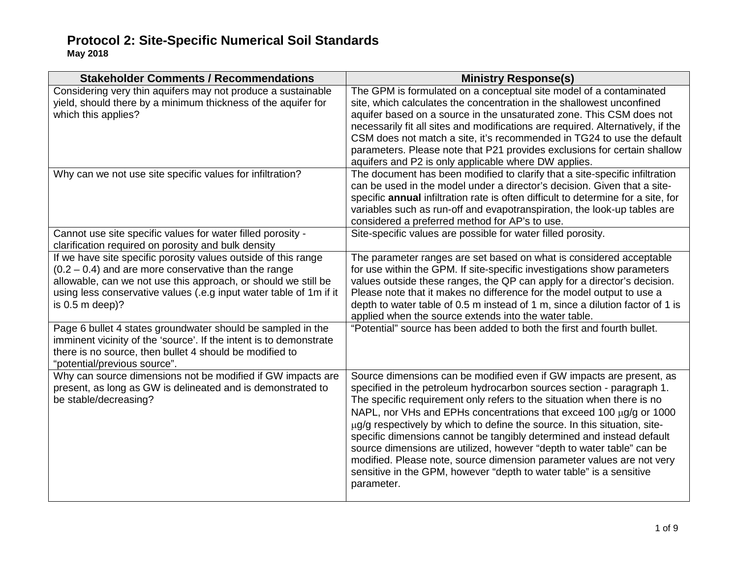**Stakeholder Comments / Recommendations Ministry Response(s)** Considering very thin aquifers may not produce a sustainable yield, should there by a minimum thickness of the aquifer for which this applies? The GPM is formulated on a conceptual site model of a contaminated site, which calculates the concentration in the shallowest unconfined aquifer based on a source in the unsaturated zone. This CSM does not necessarily fit all sites and modifications are required. Alternatively, if the CSM does not match a site, it's recommended in TG24 to use the default parameters. Please note that P21 provides exclusions for certain shallow aquifers and P2 is only applicable where DW applies. Why can we not use site specific values for infiltration? The document has been modified to clarify that a site-specific infiltration can be used in the model under a director's decision. Given that a sitespecific **annual** infiltration rate is often difficult to determine for a site, for variables such as run-off and evapotranspiration, the look-up tables are considered a preferred method for AP's to use. Cannot use site specific values for water filled porosity clarification required on porosity and bulk density Site-specific values are possible for water filled porosity. If we have site specific porosity values outside of this range  $(0.2 - 0.4)$  and are more conservative than the range allowable, can we not use this approach, or should we still be using less conservative values (.e.g input water table of 1m if it is 0.5 m deep)? The parameter ranges are set based on what is considered acceptable for use within the GPM. If site-specific investigations show parameters values outside these ranges, the QP can apply for a director's decision. Please note that it makes no difference for the model output to use a depth to water table of 0.5 m instead of 1 m, since a dilution factor of 1 is applied when the source extends into the water table. Page 6 bullet 4 states groundwater should be sampled in the imminent vicinity of the 'source'. If the intent is to demonstrate there is no source, then bullet 4 should be modified to "potential/previous source". "Potential" source has been added to both the first and fourth bullet. Why can source dimensions not be modified if GW impacts are present, as long as GW is delineated and is demonstrated to be stable/decreasing? Source dimensions can be modified even if GW impacts are present, as specified in the petroleum hydrocarbon sources section - paragraph 1. The specific requirement only refers to the situation when there is no NAPL, nor VHs and EPHs concentrations that exceed 100 µg/g or 1000 µg/g respectively by which to define the source. In this situation, sitespecific dimensions cannot be tangibly determined and instead default source dimensions are utilized, however "depth to water table" can be modified. Please note, source dimension parameter values are not very sensitive in the GPM, however "depth to water table" is a sensitive parameter.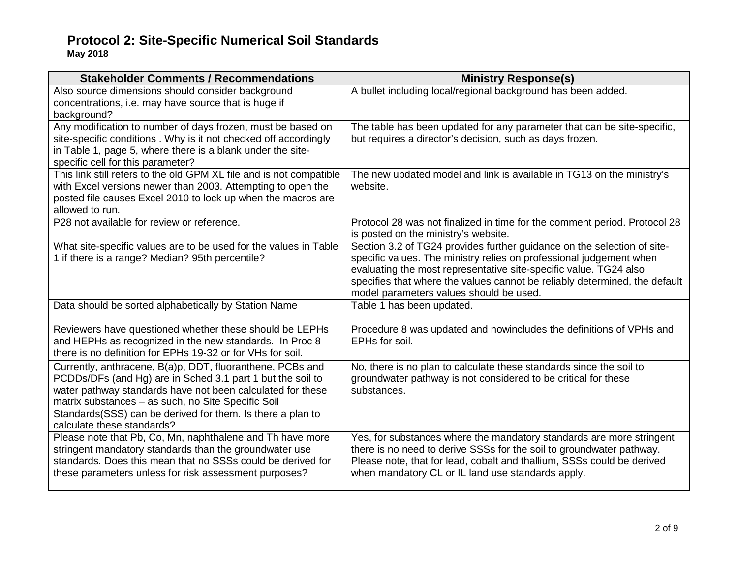| <b>Stakeholder Comments / Recommendations</b>                                                                                                                                                                                                                                                                                           | <b>Ministry Response(s)</b>                                                                                                                                                                                                                                                                                                                  |
|-----------------------------------------------------------------------------------------------------------------------------------------------------------------------------------------------------------------------------------------------------------------------------------------------------------------------------------------|----------------------------------------------------------------------------------------------------------------------------------------------------------------------------------------------------------------------------------------------------------------------------------------------------------------------------------------------|
| Also source dimensions should consider background<br>concentrations, i.e. may have source that is huge if<br>background?                                                                                                                                                                                                                | A bullet including local/regional background has been added.                                                                                                                                                                                                                                                                                 |
| Any modification to number of days frozen, must be based on<br>site-specific conditions. Why is it not checked off accordingly<br>in Table 1, page 5, where there is a blank under the site-<br>specific cell for this parameter?                                                                                                       | The table has been updated for any parameter that can be site-specific,<br>but requires a director's decision, such as days frozen.                                                                                                                                                                                                          |
| This link still refers to the old GPM XL file and is not compatible<br>with Excel versions newer than 2003. Attempting to open the<br>posted file causes Excel 2010 to lock up when the macros are<br>allowed to run.                                                                                                                   | The new updated model and link is available in TG13 on the ministry's<br>website.                                                                                                                                                                                                                                                            |
| P28 not available for review or reference.                                                                                                                                                                                                                                                                                              | Protocol 28 was not finalized in time for the comment period. Protocol 28<br>is posted on the ministry's website.                                                                                                                                                                                                                            |
| What site-specific values are to be used for the values in Table<br>1 if there is a range? Median? 95th percentile?                                                                                                                                                                                                                     | Section 3.2 of TG24 provides further guidance on the selection of site-<br>specific values. The ministry relies on professional judgement when<br>evaluating the most representative site-specific value. TG24 also<br>specifies that where the values cannot be reliably determined, the default<br>model parameters values should be used. |
| Data should be sorted alphabetically by Station Name                                                                                                                                                                                                                                                                                    | Table 1 has been updated.                                                                                                                                                                                                                                                                                                                    |
| Reviewers have questioned whether these should be LEPHs<br>and HEPHs as recognized in the new standards. In Proc 8<br>there is no definition for EPHs 19-32 or for VHs for soil.                                                                                                                                                        | Procedure 8 was updated and nowincludes the definitions of VPHs and<br>EPHs for soil.                                                                                                                                                                                                                                                        |
| Currently, anthracene, B(a)p, DDT, fluoranthene, PCBs and<br>PCDDs/DFs (and Hg) are in Sched 3.1 part 1 but the soil to<br>water pathway standards have not been calculated for these<br>matrix substances - as such, no Site Specific Soil<br>Standards(SSS) can be derived for them. Is there a plan to<br>calculate these standards? | No, there is no plan to calculate these standards since the soil to<br>groundwater pathway is not considered to be critical for these<br>substances.                                                                                                                                                                                         |
| Please note that Pb, Co, Mn, naphthalene and Th have more<br>stringent mandatory standards than the groundwater use<br>standards. Does this mean that no SSSs could be derived for<br>these parameters unless for risk assessment purposes?                                                                                             | Yes, for substances where the mandatory standards are more stringent<br>there is no need to derive SSSs for the soil to groundwater pathway.<br>Please note, that for lead, cobalt and thallium, SSSs could be derived<br>when mandatory CL or IL land use standards apply.                                                                  |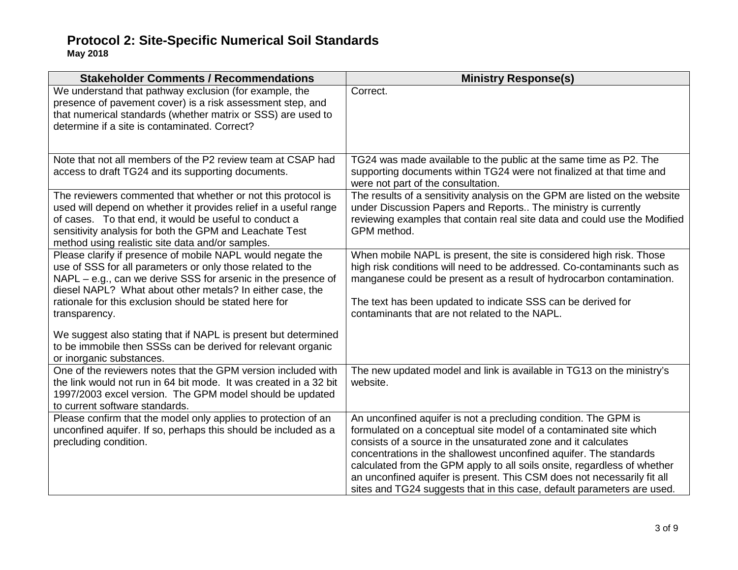| <b>Stakeholder Comments / Recommendations</b>                                                                                                                                                                                                                                                                                     | <b>Ministry Response(s)</b>                                                                                                                                                                                                                                                                                                                                                                                                                                                                                     |
|-----------------------------------------------------------------------------------------------------------------------------------------------------------------------------------------------------------------------------------------------------------------------------------------------------------------------------------|-----------------------------------------------------------------------------------------------------------------------------------------------------------------------------------------------------------------------------------------------------------------------------------------------------------------------------------------------------------------------------------------------------------------------------------------------------------------------------------------------------------------|
| We understand that pathway exclusion (for example, the<br>presence of pavement cover) is a risk assessment step, and<br>that numerical standards (whether matrix or SSS) are used to<br>determine if a site is contaminated. Correct?                                                                                             | Correct.                                                                                                                                                                                                                                                                                                                                                                                                                                                                                                        |
| Note that not all members of the P2 review team at CSAP had<br>access to draft TG24 and its supporting documents.                                                                                                                                                                                                                 | TG24 was made available to the public at the same time as P2. The<br>supporting documents within TG24 were not finalized at that time and<br>were not part of the consultation.                                                                                                                                                                                                                                                                                                                                 |
| The reviewers commented that whether or not this protocol is<br>used will depend on whether it provides relief in a useful range<br>of cases. To that end, it would be useful to conduct a<br>sensitivity analysis for both the GPM and Leachate Test<br>method using realistic site data and/or samples.                         | The results of a sensitivity analysis on the GPM are listed on the website<br>under Discussion Papers and Reports The ministry is currently<br>reviewing examples that contain real site data and could use the Modified<br>GPM method.                                                                                                                                                                                                                                                                         |
| Please clarify if presence of mobile NAPL would negate the<br>use of SSS for all parameters or only those related to the<br>NAPL - e.g., can we derive SSS for arsenic in the presence of<br>diesel NAPL? What about other metals? In either case, the<br>rationale for this exclusion should be stated here for<br>transparency. | When mobile NAPL is present, the site is considered high risk. Those<br>high risk conditions will need to be addressed. Co-contaminants such as<br>manganese could be present as a result of hydrocarbon contamination.<br>The text has been updated to indicate SSS can be derived for<br>contaminants that are not related to the NAPL.                                                                                                                                                                       |
| We suggest also stating that if NAPL is present but determined<br>to be immobile then SSSs can be derived for relevant organic<br>or inorganic substances.                                                                                                                                                                        |                                                                                                                                                                                                                                                                                                                                                                                                                                                                                                                 |
| One of the reviewers notes that the GPM version included with<br>the link would not run in 64 bit mode. It was created in a 32 bit<br>1997/2003 excel version. The GPM model should be updated<br>to current software standards.                                                                                                  | The new updated model and link is available in TG13 on the ministry's<br>website.                                                                                                                                                                                                                                                                                                                                                                                                                               |
| Please confirm that the model only applies to protection of an<br>unconfined aquifer. If so, perhaps this should be included as a<br>precluding condition.                                                                                                                                                                        | An unconfined aquifer is not a precluding condition. The GPM is<br>formulated on a conceptual site model of a contaminated site which<br>consists of a source in the unsaturated zone and it calculates<br>concentrations in the shallowest unconfined aquifer. The standards<br>calculated from the GPM apply to all soils onsite, regardless of whether<br>an unconfined aquifer is present. This CSM does not necessarily fit all<br>sites and TG24 suggests that in this case, default parameters are used. |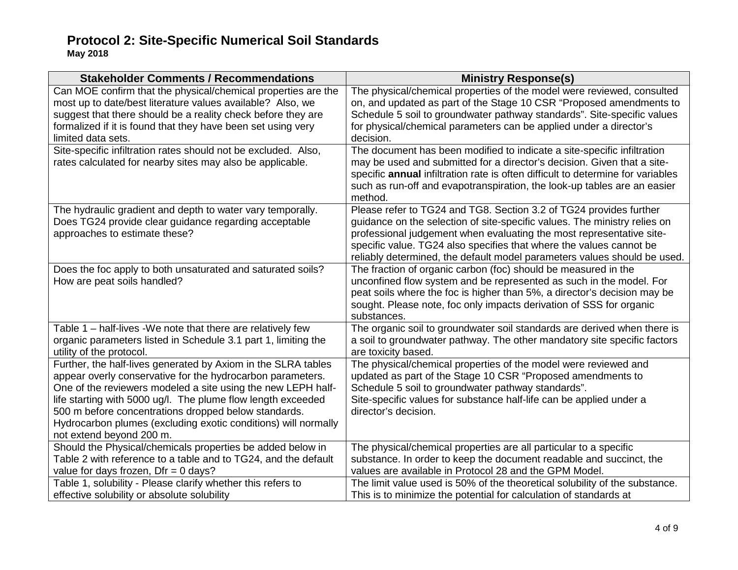| <b>Stakeholder Comments / Recommendations</b>                                                                                                                                                                                                                                                                                                                                                                     | <b>Ministry Response(s)</b>                                                                                                                                                                                                                                                                                                                                                |
|-------------------------------------------------------------------------------------------------------------------------------------------------------------------------------------------------------------------------------------------------------------------------------------------------------------------------------------------------------------------------------------------------------------------|----------------------------------------------------------------------------------------------------------------------------------------------------------------------------------------------------------------------------------------------------------------------------------------------------------------------------------------------------------------------------|
| Can MOE confirm that the physical/chemical properties are the<br>most up to date/best literature values available? Also, we<br>suggest that there should be a reality check before they are<br>formalized if it is found that they have been set using very<br>limited data sets.                                                                                                                                 | The physical/chemical properties of the model were reviewed, consulted<br>on, and updated as part of the Stage 10 CSR "Proposed amendments to<br>Schedule 5 soil to groundwater pathway standards". Site-specific values<br>for physical/chemical parameters can be applied under a director's<br>decision.                                                                |
| Site-specific infiltration rates should not be excluded. Also,<br>rates calculated for nearby sites may also be applicable.                                                                                                                                                                                                                                                                                       | The document has been modified to indicate a site-specific infiltration<br>may be used and submitted for a director's decision. Given that a site-<br>specific annual infiltration rate is often difficult to determine for variables<br>such as run-off and evapotranspiration, the look-up tables are an easier<br>method.                                               |
| The hydraulic gradient and depth to water vary temporally.<br>Does TG24 provide clear guidance regarding acceptable<br>approaches to estimate these?                                                                                                                                                                                                                                                              | Please refer to TG24 and TG8. Section 3.2 of TG24 provides further<br>guidance on the selection of site-specific values. The ministry relies on<br>professional judgement when evaluating the most representative site-<br>specific value. TG24 also specifies that where the values cannot be<br>reliably determined, the default model parameters values should be used. |
| Does the foc apply to both unsaturated and saturated soils?<br>How are peat soils handled?                                                                                                                                                                                                                                                                                                                        | The fraction of organic carbon (foc) should be measured in the<br>unconfined flow system and be represented as such in the model. For<br>peat soils where the foc is higher than 5%, a director's decision may be<br>sought. Please note, foc only impacts derivation of SSS for organic<br>substances.                                                                    |
| Table 1 - half-lives -We note that there are relatively few<br>organic parameters listed in Schedule 3.1 part 1, limiting the<br>utility of the protocol.                                                                                                                                                                                                                                                         | The organic soil to groundwater soil standards are derived when there is<br>a soil to groundwater pathway. The other mandatory site specific factors<br>are toxicity based.                                                                                                                                                                                                |
| Further, the half-lives generated by Axiom in the SLRA tables<br>appear overly conservative for the hydrocarbon parameters.<br>One of the reviewers modeled a site using the new LEPH half-<br>life starting with 5000 ug/l. The plume flow length exceeded<br>500 m before concentrations dropped below standards.<br>Hydrocarbon plumes (excluding exotic conditions) will normally<br>not extend beyond 200 m. | The physical/chemical properties of the model were reviewed and<br>updated as part of the Stage 10 CSR "Proposed amendments to<br>Schedule 5 soil to groundwater pathway standards".<br>Site-specific values for substance half-life can be applied under a<br>director's decision.                                                                                        |
| Should the Physical/chemicals properties be added below in<br>Table 2 with reference to a table and to TG24, and the default<br>value for days frozen, $Dfr = 0$ days?                                                                                                                                                                                                                                            | The physical/chemical properties are all particular to a specific<br>substance. In order to keep the document readable and succinct, the<br>values are available in Protocol 28 and the GPM Model.                                                                                                                                                                         |
| Table 1, solubility - Please clarify whether this refers to<br>effective solubility or absolute solubility                                                                                                                                                                                                                                                                                                        | The limit value used is 50% of the theoretical solubility of the substance.<br>This is to minimize the potential for calculation of standards at                                                                                                                                                                                                                           |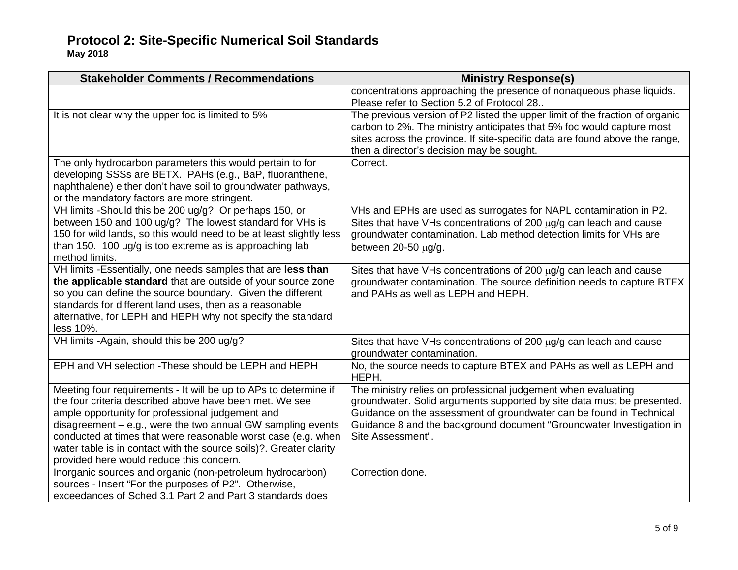**May 2018**

| <b>Stakeholder Comments / Recommendations</b>                                                                                                                                                                                                                                                                                                                                                                                       | <b>Ministry Response(s)</b>                                                                                                                                                                                                                                                                                 |
|-------------------------------------------------------------------------------------------------------------------------------------------------------------------------------------------------------------------------------------------------------------------------------------------------------------------------------------------------------------------------------------------------------------------------------------|-------------------------------------------------------------------------------------------------------------------------------------------------------------------------------------------------------------------------------------------------------------------------------------------------------------|
|                                                                                                                                                                                                                                                                                                                                                                                                                                     | concentrations approaching the presence of nonaqueous phase liquids.<br>Please refer to Section 5.2 of Protocol 28                                                                                                                                                                                          |
| It is not clear why the upper foc is limited to 5%                                                                                                                                                                                                                                                                                                                                                                                  | The previous version of P2 listed the upper limit of the fraction of organic<br>carbon to 2%. The ministry anticipates that 5% foc would capture most<br>sites across the province. If site-specific data are found above the range,<br>then a director's decision may be sought.                           |
| The only hydrocarbon parameters this would pertain to for<br>developing SSSs are BETX. PAHs (e.g., BaP, fluoranthene,<br>naphthalene) either don't have soil to groundwater pathways,<br>or the mandatory factors are more stringent.                                                                                                                                                                                               | Correct.                                                                                                                                                                                                                                                                                                    |
| VH limits -Should this be 200 ug/g? Or perhaps 150, or<br>between 150 and 100 ug/g? The lowest standard for VHs is<br>150 for wild lands, so this would need to be at least slightly less<br>than 150. 100 $\mu$ g/g is too extreme as is approaching lab<br>method limits.                                                                                                                                                         | VHs and EPHs are used as surrogates for NAPL contamination in P2.<br>Sites that have VHs concentrations of 200 $\mu$ g/g can leach and cause<br>groundwater contamination. Lab method detection limits for VHs are<br>between 20-50 µg/g.                                                                   |
| VH limits -Essentially, one needs samples that are less than<br>the applicable standard that are outside of your source zone<br>so you can define the source boundary. Given the different<br>standards for different land uses, then as a reasonable<br>alternative, for LEPH and HEPH why not specify the standard<br>less 10%.                                                                                                   | Sites that have VHs concentrations of 200 $\mu$ g/g can leach and cause<br>groundwater contamination. The source definition needs to capture BTEX<br>and PAHs as well as LEPH and HEPH.                                                                                                                     |
| VH limits -Again, should this be 200 ug/g?                                                                                                                                                                                                                                                                                                                                                                                          | Sites that have VHs concentrations of 200 $\mu$ g/g can leach and cause<br>groundwater contamination.                                                                                                                                                                                                       |
| EPH and VH selection - These should be LEPH and HEPH                                                                                                                                                                                                                                                                                                                                                                                | No, the source needs to capture BTEX and PAHs as well as LEPH and<br>HEPH.                                                                                                                                                                                                                                  |
| Meeting four requirements - It will be up to APs to determine if<br>the four criteria described above have been met. We see<br>ample opportunity for professional judgement and<br>disagreement $-$ e.g., were the two annual GW sampling events<br>conducted at times that were reasonable worst case (e.g. when<br>water table is in contact with the source soils)?. Greater clarity<br>provided here would reduce this concern. | The ministry relies on professional judgement when evaluating<br>groundwater. Solid arguments supported by site data must be presented.<br>Guidance on the assessment of groundwater can be found in Technical<br>Guidance 8 and the background document "Groundwater Investigation in<br>Site Assessment". |
| Inorganic sources and organic (non-petroleum hydrocarbon)<br>sources - Insert "For the purposes of P2". Otherwise,<br>exceedances of Sched 3.1 Part 2 and Part 3 standards does                                                                                                                                                                                                                                                     | Correction done.                                                                                                                                                                                                                                                                                            |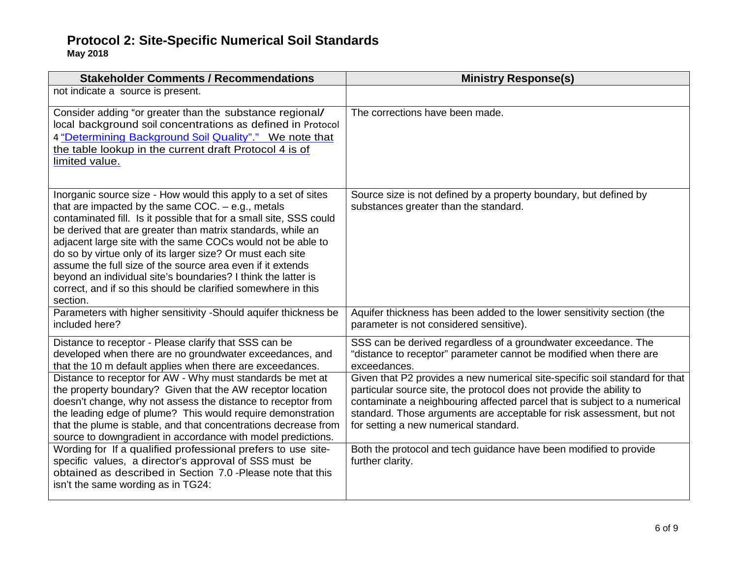**May 2018**

| <b>Stakeholder Comments / Recommendations</b>                                                                                                                                                                                                                                                                                                                                                                                                                                                                                                                                                       | <b>Ministry Response(s)</b>                                                                                                                                                                                                                                                                                                                        |
|-----------------------------------------------------------------------------------------------------------------------------------------------------------------------------------------------------------------------------------------------------------------------------------------------------------------------------------------------------------------------------------------------------------------------------------------------------------------------------------------------------------------------------------------------------------------------------------------------------|----------------------------------------------------------------------------------------------------------------------------------------------------------------------------------------------------------------------------------------------------------------------------------------------------------------------------------------------------|
| not indicate a source is present.                                                                                                                                                                                                                                                                                                                                                                                                                                                                                                                                                                   |                                                                                                                                                                                                                                                                                                                                                    |
| Consider adding "or greater than the substance regional/<br>local background soil concentrations as defined in Protocol<br>4 "Determining Background Soil Quality"." We note that<br>the table lookup in the current draft Protocol 4 is of<br>limited value.                                                                                                                                                                                                                                                                                                                                       | The corrections have been made.                                                                                                                                                                                                                                                                                                                    |
| Inorganic source size - How would this apply to a set of sites<br>that are impacted by the same COC. $-$ e.g., metals<br>contaminated fill. Is it possible that for a small site, SSS could<br>be derived that are greater than matrix standards, while an<br>adjacent large site with the same COCs would not be able to<br>do so by virtue only of its larger size? Or must each site<br>assume the full size of the source area even if it extends<br>beyond an individual site's boundaries? I think the latter is<br>correct, and if so this should be clarified somewhere in this<br>section. | Source size is not defined by a property boundary, but defined by<br>substances greater than the standard.                                                                                                                                                                                                                                         |
| Parameters with higher sensitivity -Should aquifer thickness be<br>included here?                                                                                                                                                                                                                                                                                                                                                                                                                                                                                                                   | Aquifer thickness has been added to the lower sensitivity section (the<br>parameter is not considered sensitive).                                                                                                                                                                                                                                  |
| Distance to receptor - Please clarify that SSS can be<br>developed when there are no groundwater exceedances, and<br>that the 10 m default applies when there are exceedances.                                                                                                                                                                                                                                                                                                                                                                                                                      | SSS can be derived regardless of a groundwater exceedance. The<br>"distance to receptor" parameter cannot be modified when there are<br>exceedances.                                                                                                                                                                                               |
| Distance to receptor for AW - Why must standards be met at<br>the property boundary? Given that the AW receptor location<br>doesn't change, why not assess the distance to receptor from<br>the leading edge of plume? This would require demonstration<br>that the plume is stable, and that concentrations decrease from<br>source to downgradient in accordance with model predictions.                                                                                                                                                                                                          | Given that P2 provides a new numerical site-specific soil standard for that<br>particular source site, the protocol does not provide the ability to<br>contaminate a neighbouring affected parcel that is subject to a numerical<br>standard. Those arguments are acceptable for risk assessment, but not<br>for setting a new numerical standard. |
| Wording for If a qualified professional prefers to use site-<br>specific values, a director's approval of SSS must be<br>obtained as described in Section 7.0 - Please note that this<br>isn't the same wording as in TG24:                                                                                                                                                                                                                                                                                                                                                                         | Both the protocol and tech guidance have been modified to provide<br>further clarity.                                                                                                                                                                                                                                                              |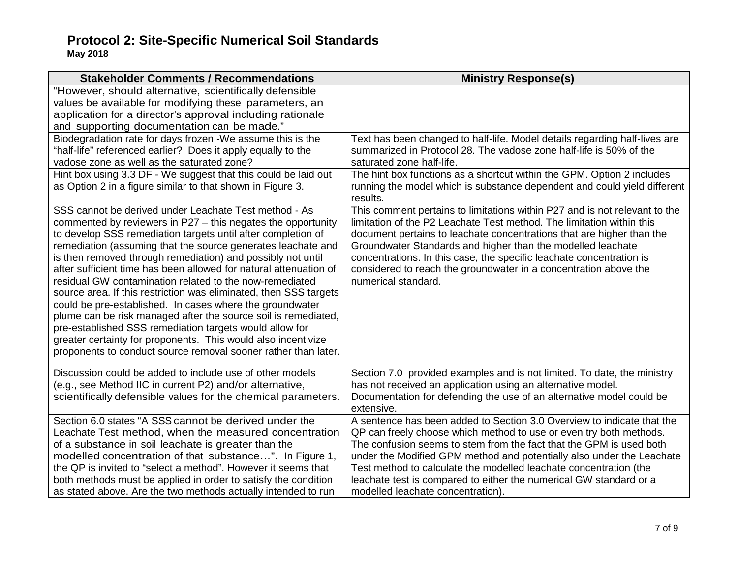| <b>Stakeholder Comments / Recommendations</b>                                                                                                                                                                                                                                                                                                                                                                                                                                                                                                                                                                                                                                                                                                                                                                                                         | <b>Ministry Response(s)</b>                                                                                                                                                                                                                                                                                                                                                                                                                                                  |
|-------------------------------------------------------------------------------------------------------------------------------------------------------------------------------------------------------------------------------------------------------------------------------------------------------------------------------------------------------------------------------------------------------------------------------------------------------------------------------------------------------------------------------------------------------------------------------------------------------------------------------------------------------------------------------------------------------------------------------------------------------------------------------------------------------------------------------------------------------|------------------------------------------------------------------------------------------------------------------------------------------------------------------------------------------------------------------------------------------------------------------------------------------------------------------------------------------------------------------------------------------------------------------------------------------------------------------------------|
| "However, should alternative, scientifically defensible<br>values be available for modifying these parameters, an<br>application for a director's approval including rationale<br>and supporting documentation can be made."                                                                                                                                                                                                                                                                                                                                                                                                                                                                                                                                                                                                                          |                                                                                                                                                                                                                                                                                                                                                                                                                                                                              |
| Biodegradation rate for days frozen -We assume this is the<br>"half-life" referenced earlier? Does it apply equally to the<br>vadose zone as well as the saturated zone?                                                                                                                                                                                                                                                                                                                                                                                                                                                                                                                                                                                                                                                                              | Text has been changed to half-life. Model details regarding half-lives are<br>summarized in Protocol 28. The vadose zone half-life is 50% of the<br>saturated zone half-life.                                                                                                                                                                                                                                                                                                |
| Hint box using 3.3 DF - We suggest that this could be laid out<br>as Option 2 in a figure similar to that shown in Figure 3.                                                                                                                                                                                                                                                                                                                                                                                                                                                                                                                                                                                                                                                                                                                          | The hint box functions as a shortcut within the GPM. Option 2 includes<br>running the model which is substance dependent and could yield different<br>results.                                                                                                                                                                                                                                                                                                               |
| SSS cannot be derived under Leachate Test method - As<br>commented by reviewers in P27 - this negates the opportunity<br>to develop SSS remediation targets until after completion of<br>remediation (assuming that the source generates leachate and<br>is then removed through remediation) and possibly not until<br>after sufficient time has been allowed for natural attenuation of<br>residual GW contamination related to the now-remediated<br>source area. If this restriction was eliminated, then SSS targets<br>could be pre-established. In cases where the groundwater<br>plume can be risk managed after the source soil is remediated,<br>pre-established SSS remediation targets would allow for<br>greater certainty for proponents. This would also incentivize<br>proponents to conduct source removal sooner rather than later. | This comment pertains to limitations within P27 and is not relevant to the<br>limitation of the P2 Leachate Test method. The limitation within this<br>document pertains to leachate concentrations that are higher than the<br>Groundwater Standards and higher than the modelled leachate<br>concentrations. In this case, the specific leachate concentration is<br>considered to reach the groundwater in a concentration above the<br>numerical standard.               |
| Discussion could be added to include use of other models<br>(e.g., see Method IIC in current P2) and/or alternative,<br>scientifically defensible values for the chemical parameters.                                                                                                                                                                                                                                                                                                                                                                                                                                                                                                                                                                                                                                                                 | Section 7.0 provided examples and is not limited. To date, the ministry<br>has not received an application using an alternative model.<br>Documentation for defending the use of an alternative model could be<br>extensive.                                                                                                                                                                                                                                                 |
| Section 6.0 states "A SSS cannot be derived under the<br>Leachate Test method, when the measured concentration<br>of a substance in soil leachate is greater than the<br>modelled concentration of that substance". In Figure 1,<br>the QP is invited to "select a method". However it seems that<br>both methods must be applied in order to satisfy the condition<br>as stated above. Are the two methods actually intended to run                                                                                                                                                                                                                                                                                                                                                                                                                  | A sentence has been added to Section 3.0 Overview to indicate that the<br>QP can freely choose which method to use or even try both methods.<br>The confusion seems to stem from the fact that the GPM is used both<br>under the Modified GPM method and potentially also under the Leachate<br>Test method to calculate the modelled leachate concentration (the<br>leachate test is compared to either the numerical GW standard or a<br>modelled leachate concentration). |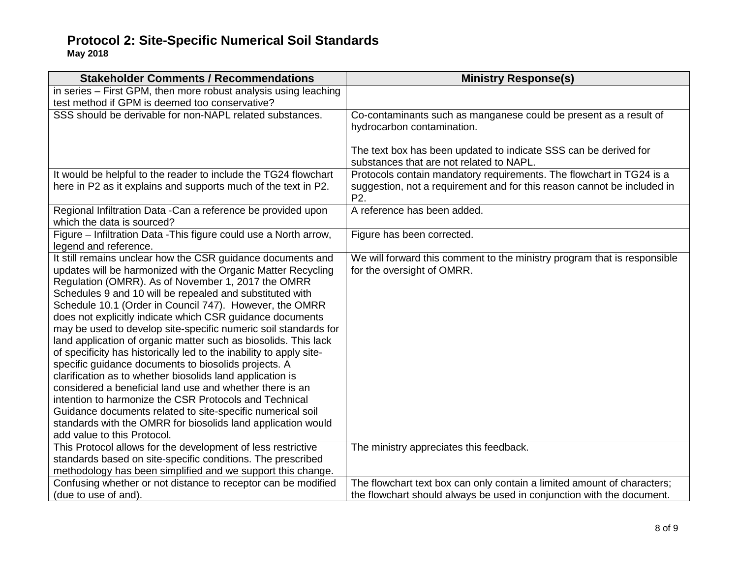| <b>Stakeholder Comments / Recommendations</b>                                                                                | <b>Ministry Response(s)</b>                                                                 |
|------------------------------------------------------------------------------------------------------------------------------|---------------------------------------------------------------------------------------------|
| in series - First GPM, then more robust analysis using leaching                                                              |                                                                                             |
| test method if GPM is deemed too conservative?                                                                               |                                                                                             |
| SSS should be derivable for non-NAPL related substances.                                                                     | Co-contaminants such as manganese could be present as a result of                           |
|                                                                                                                              | hydrocarbon contamination.                                                                  |
|                                                                                                                              |                                                                                             |
|                                                                                                                              | The text box has been updated to indicate SSS can be derived for                            |
|                                                                                                                              | substances that are not related to NAPL.                                                    |
| It would be helpful to the reader to include the TG24 flowchart                                                              | Protocols contain mandatory requirements. The flowchart in TG24 is a                        |
| here in P2 as it explains and supports much of the text in P2.                                                               | suggestion, not a requirement and for this reason cannot be included in<br>P <sub>2</sub> . |
| Regional Infiltration Data - Can a reference be provided upon                                                                | A reference has been added.                                                                 |
| which the data is sourced?                                                                                                   |                                                                                             |
| Figure - Infiltration Data - This figure could use a North arrow,                                                            | Figure has been corrected.                                                                  |
| legend and reference.                                                                                                        |                                                                                             |
| It still remains unclear how the CSR guidance documents and                                                                  | We will forward this comment to the ministry program that is responsible                    |
| updates will be harmonized with the Organic Matter Recycling                                                                 | for the oversight of OMRR.                                                                  |
| Regulation (OMRR). As of November 1, 2017 the OMRR                                                                           |                                                                                             |
| Schedules 9 and 10 will be repealed and substituted with                                                                     |                                                                                             |
| Schedule 10.1 (Order in Council 747). However, the OMRR                                                                      |                                                                                             |
| does not explicitly indicate which CSR guidance documents<br>may be used to develop site-specific numeric soil standards for |                                                                                             |
| land application of organic matter such as biosolids. This lack                                                              |                                                                                             |
| of specificity has historically led to the inability to apply site-                                                          |                                                                                             |
| specific guidance documents to biosolids projects. A                                                                         |                                                                                             |
| clarification as to whether biosolids land application is                                                                    |                                                                                             |
| considered a beneficial land use and whether there is an                                                                     |                                                                                             |
| intention to harmonize the CSR Protocols and Technical                                                                       |                                                                                             |
| Guidance documents related to site-specific numerical soil                                                                   |                                                                                             |
| standards with the OMRR for biosolids land application would                                                                 |                                                                                             |
| add value to this Protocol.                                                                                                  |                                                                                             |
| This Protocol allows for the development of less restrictive                                                                 | The ministry appreciates this feedback.                                                     |
| standards based on site-specific conditions. The prescribed                                                                  |                                                                                             |
| methodology has been simplified and we support this change.                                                                  |                                                                                             |
| Confusing whether or not distance to receptor can be modified                                                                | The flowchart text box can only contain a limited amount of characters;                     |
| (due to use of and).                                                                                                         | the flowchart should always be used in conjunction with the document.                       |